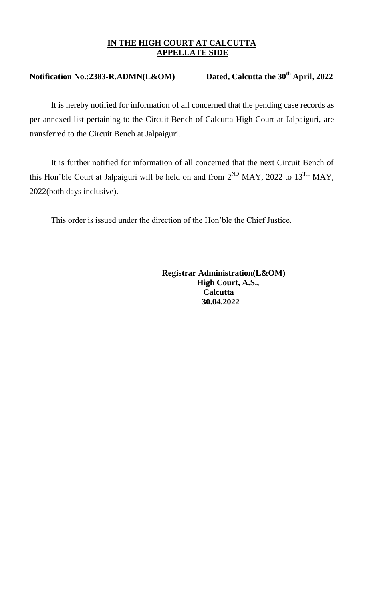## **IN THE HIGH COURT AT CALCUTTA APPELLATE SIDE**

## **Notification No.:2383-R.ADMN(L&OM) Dated, Calcutta the 30th April, 2022**

It is hereby notified for information of all concerned that the pending case records as per annexed list pertaining to the Circuit Bench of Calcutta High Court at Jalpaiguri, are transferred to the Circuit Bench at Jalpaiguri.

It is further notified for information of all concerned that the next Circuit Bench of this Hon'ble Court at Jalpaiguri will be held on and from  $2^{ND}$  MAY, 2022 to  $13^{TH}$  MAY, 2022(both days inclusive).

This order is issued under the direction of the Hon'ble the Chief Justice.

 **Registrar Administration(L&OM) High Court, A.S., Calcutta 30.04.2022**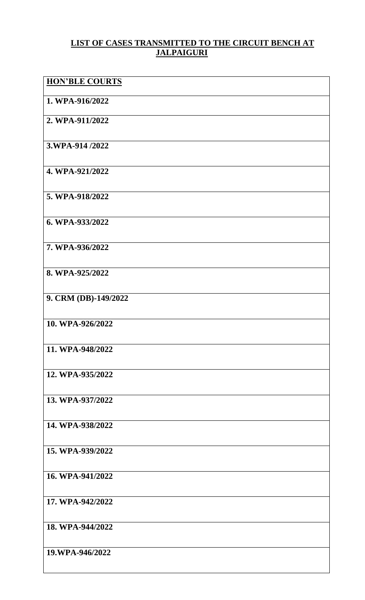## **LIST OF CASES TRANSMITTED TO THE CIRCUIT BENCH AT JALPAIGURI**

| <b>HON'BLE COURTS</b> |
|-----------------------|
| 1. WPA-916/2022       |
| 2. WPA-911/2022       |
| 3.WPA-914/2022        |
| 4. WPA-921/2022       |
| 5. WPA-918/2022       |
| 6. WPA-933/2022       |
| 7. WPA-936/2022       |
| 8. WPA-925/2022       |
| 9. CRM (DB)-149/2022  |
| 10. WPA-926/2022      |
| 11. WPA-948/2022      |
| 12. WPA-935/2022      |
| 13. WPA-937/2022      |
| 14. WPA-938/2022      |
| 15. WPA-939/2022      |
| 16. WPA-941/2022      |
| 17. WPA-942/2022      |
| 18. WPA-944/2022      |
| 19.WPA-946/2022       |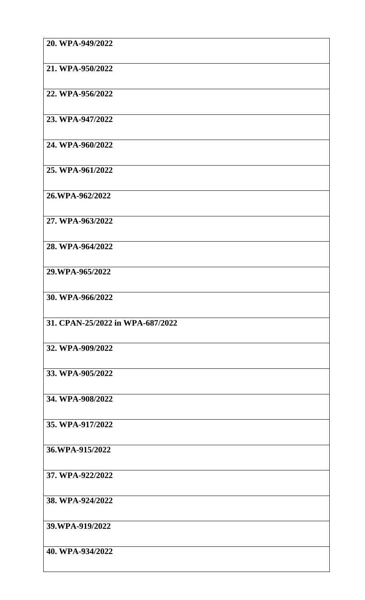| 20. WPA-949/2022                 |
|----------------------------------|
| 21. WPA-950/2022                 |
| 22. WPA-956/2022                 |
| 23. WPA-947/2022                 |
| 24. WPA-960/2022                 |
| 25. WPA-961/2022                 |
| 26.WPA-962/2022                  |
| 27. WPA-963/2022                 |
| 28. WPA-964/2022                 |
| 29.WPA-965/2022                  |
| 30. WPA-966/2022                 |
| 31. CPAN-25/2022 in WPA-687/2022 |
| 32. WPA-909/2022                 |
| 33. WPA-905/2022                 |
| 34. WPA-908/2022                 |
| 35. WPA-917/2022                 |
| 36.WPA-915/2022                  |
| 37. WPA-922/2022                 |
| 38. WPA-924/2022                 |
| 39.WPA-919/2022                  |
| 40. WPA-934/2022                 |
|                                  |